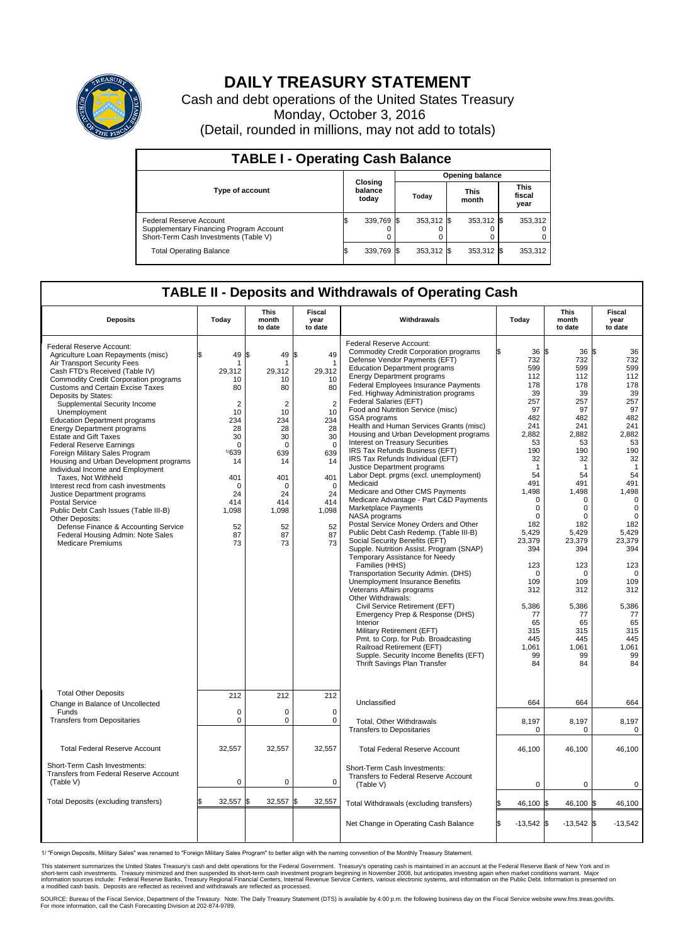

## **DAILY TREASURY STATEMENT**

Cash and debt operations of the United States Treasury Monday, October 3, 2016 (Detail, rounded in millions, may not add to totals)

| <b>TABLE I - Operating Cash Balance</b>                                                                     |     |                             |  |                        |  |                      |  |                               |  |  |  |
|-------------------------------------------------------------------------------------------------------------|-----|-----------------------------|--|------------------------|--|----------------------|--|-------------------------------|--|--|--|
|                                                                                                             |     |                             |  | <b>Opening balance</b> |  |                      |  |                               |  |  |  |
| <b>Type of account</b>                                                                                      |     | Closing<br>balance<br>today |  | Today                  |  | <b>This</b><br>month |  | <b>This</b><br>fiscal<br>year |  |  |  |
| Federal Reserve Account<br>Supplementary Financing Program Account<br>Short-Term Cash Investments (Table V) |     | 339.769                     |  | 353.312 \$             |  | 353,312 \$           |  | 353,312                       |  |  |  |
| <b>Total Operating Balance</b>                                                                              | I\$ | 339,769 \$                  |  | 353,312 \$             |  | 353,312 \$           |  | 353,312                       |  |  |  |

## **TABLE II - Deposits and Withdrawals of Operating Cash**

| <b>Deposits</b>                                                                                                                                                                                                                                                                                                                                                                                                                                                                                                                                                                                                                                                                                                                                                                                                                                       | Today                                                                                                                                                                   | This<br>month<br>to date                                                                                                                                      | <b>Fiscal</b><br>year<br>to date                                                                                                                                                | Withdrawals                                                                                                                                                                                                                                                                                                                                                                                                                                                                                                                                                                                                                                                                                                                                                                                                                                                                                                                                                                                                                                                                                                                                                                                                                                                                                                                                                                                 | Today                                                                                                                                                                                                                                                                                                       | This<br>month<br>to date                                                                                                                                                                                                                                                                | Fiscal<br>year<br>to date                                                                                                                                                                                                                                                                        |
|-------------------------------------------------------------------------------------------------------------------------------------------------------------------------------------------------------------------------------------------------------------------------------------------------------------------------------------------------------------------------------------------------------------------------------------------------------------------------------------------------------------------------------------------------------------------------------------------------------------------------------------------------------------------------------------------------------------------------------------------------------------------------------------------------------------------------------------------------------|-------------------------------------------------------------------------------------------------------------------------------------------------------------------------|---------------------------------------------------------------------------------------------------------------------------------------------------------------|---------------------------------------------------------------------------------------------------------------------------------------------------------------------------------|---------------------------------------------------------------------------------------------------------------------------------------------------------------------------------------------------------------------------------------------------------------------------------------------------------------------------------------------------------------------------------------------------------------------------------------------------------------------------------------------------------------------------------------------------------------------------------------------------------------------------------------------------------------------------------------------------------------------------------------------------------------------------------------------------------------------------------------------------------------------------------------------------------------------------------------------------------------------------------------------------------------------------------------------------------------------------------------------------------------------------------------------------------------------------------------------------------------------------------------------------------------------------------------------------------------------------------------------------------------------------------------------|-------------------------------------------------------------------------------------------------------------------------------------------------------------------------------------------------------------------------------------------------------------------------------------------------------------|-----------------------------------------------------------------------------------------------------------------------------------------------------------------------------------------------------------------------------------------------------------------------------------------|--------------------------------------------------------------------------------------------------------------------------------------------------------------------------------------------------------------------------------------------------------------------------------------------------|
| Federal Reserve Account:<br>Agriculture Loan Repayments (misc)<br>Air Transport Security Fees<br>Cash FTD's Received (Table IV)<br>Commodity Credit Corporation programs<br><b>Customs and Certain Excise Taxes</b><br>Deposits by States:<br>Supplemental Security Income<br>Unemployment<br><b>Education Department programs</b><br><b>Energy Department programs</b><br><b>Estate and Gift Taxes</b><br><b>Federal Reserve Earnings</b><br>Foreign Military Sales Program<br>Housing and Urban Development programs<br>Individual Income and Employment<br>Taxes. Not Withheld<br>Interest recd from cash investments<br>Justice Department programs<br><b>Postal Service</b><br>Public Debt Cash Issues (Table III-B)<br>Other Deposits:<br>Defense Finance & Accounting Service<br>Federal Housing Admin: Note Sales<br><b>Medicare Premiums</b> | 49<br>\$<br>1<br>29,312<br>10<br>80<br>$\overline{2}$<br>10<br>234<br>28<br>30<br>$\mathbf 0$<br>1/639<br>14<br>401<br>$\Omega$<br>24<br>414<br>1,098<br>52<br>87<br>73 | \$<br>49<br>29,312<br>10<br>80<br>$\overline{2}$<br>10<br>234<br>28<br>30<br>$\Omega$<br>639<br>14<br>401<br>$\Omega$<br>24<br>414<br>1,098<br>52<br>87<br>73 | \$<br>49<br>$\overline{1}$<br>29,312<br>10<br>80<br>$\overline{2}$<br>10<br>234<br>28<br>30<br>$\Omega$<br>639<br>14<br>401<br>$\Omega$<br>24<br>414<br>1,098<br>52<br>87<br>73 | Federal Reserve Account:<br><b>Commodity Credit Corporation programs</b><br>Defense Vendor Payments (EFT)<br><b>Education Department programs</b><br><b>Energy Department programs</b><br><b>Federal Employees Insurance Payments</b><br>Fed. Highway Administration programs<br>Federal Salaries (EFT)<br>Food and Nutrition Service (misc)<br>GSA programs<br>Health and Human Services Grants (misc)<br>Housing and Urban Development programs<br><b>Interest on Treasury Securities</b><br>IRS Tax Refunds Business (EFT)<br>IRS Tax Refunds Individual (EFT)<br>Justice Department programs<br>Labor Dept. prgms (excl. unemployment)<br>Medicaid<br>Medicare and Other CMS Payments<br>Medicare Advantage - Part C&D Payments<br>Marketplace Payments<br>NASA programs<br>Postal Service Money Orders and Other<br>Public Debt Cash Redemp. (Table III-B)<br>Social Security Benefits (EFT)<br>Supple. Nutrition Assist. Program (SNAP)<br>Temporary Assistance for Needy<br>Families (HHS)<br>Transportation Security Admin. (DHS)<br>Unemployment Insurance Benefits<br>Veterans Affairs programs<br>Other Withdrawals:<br>Civil Service Retirement (EFT)<br>Emergency Prep & Response (DHS)<br>Interior<br>Military Retirement (EFT)<br>Pmt. to Corp. for Pub. Broadcasting<br>Railroad Retirement (EFT)<br>Supple. Security Income Benefits (EFT)<br>Thrift Savings Plan Transfer | 36 \$<br>732<br>599<br>112<br>178<br>39<br>257<br>97<br>482<br>241<br>2,882<br>53<br>190<br>32<br>$\mathbf{1}$<br>54<br>491<br>1,498<br>$\mathbf 0$<br>$\mathbf 0$<br>$\Omega$<br>182<br>5,429<br>23,379<br>394<br>123<br>$\mathbf 0$<br>109<br>312<br>5,386<br>77<br>65<br>315<br>445<br>1.061<br>99<br>84 | 36S<br>732<br>599<br>112<br>178<br>39<br>257<br>97<br>482<br>241<br>2,882<br>53<br>190<br>32<br>$\overline{1}$<br>54<br>491<br>1,498<br>0<br>0<br>$\Omega$<br>182<br>5,429<br>23,379<br>394<br>123<br>$\mathbf 0$<br>109<br>312<br>5,386<br>77<br>65<br>315<br>445<br>1.061<br>99<br>84 | 36<br>732<br>599<br>112<br>178<br>39<br>257<br>97<br>482<br>241<br>2,882<br>53<br>190<br>32<br>$\overline{1}$<br>54<br>491<br>1,498<br>0<br>$\mathbf 0$<br>$\Omega$<br>182<br>5,429<br>23,379<br>394<br>123<br>$\mathbf 0$<br>109<br>312<br>5,386<br>77<br>65<br>315<br>445<br>1,061<br>99<br>84 |
| <b>Total Other Deposits</b><br>Change in Balance of Uncollected                                                                                                                                                                                                                                                                                                                                                                                                                                                                                                                                                                                                                                                                                                                                                                                       | 212                                                                                                                                                                     | 212                                                                                                                                                           | 212                                                                                                                                                                             | Unclassified                                                                                                                                                                                                                                                                                                                                                                                                                                                                                                                                                                                                                                                                                                                                                                                                                                                                                                                                                                                                                                                                                                                                                                                                                                                                                                                                                                                | 664                                                                                                                                                                                                                                                                                                         | 664                                                                                                                                                                                                                                                                                     | 664                                                                                                                                                                                                                                                                                              |
| Funds<br><b>Transfers from Depositaries</b>                                                                                                                                                                                                                                                                                                                                                                                                                                                                                                                                                                                                                                                                                                                                                                                                           | $\mathbf 0$<br>$\mathbf 0$                                                                                                                                              | $\Omega$<br>0                                                                                                                                                 | $\Omega$<br>0                                                                                                                                                                   | Total, Other Withdrawals<br><b>Transfers to Depositaries</b>                                                                                                                                                                                                                                                                                                                                                                                                                                                                                                                                                                                                                                                                                                                                                                                                                                                                                                                                                                                                                                                                                                                                                                                                                                                                                                                                | 8,197<br>$\mathbf 0$                                                                                                                                                                                                                                                                                        | 8,197<br>0                                                                                                                                                                                                                                                                              | 8,197<br>$\mathbf 0$                                                                                                                                                                                                                                                                             |
| <b>Total Federal Reserve Account</b>                                                                                                                                                                                                                                                                                                                                                                                                                                                                                                                                                                                                                                                                                                                                                                                                                  | 32,557                                                                                                                                                                  | 32,557                                                                                                                                                        | 32,557                                                                                                                                                                          | <b>Total Federal Reserve Account</b>                                                                                                                                                                                                                                                                                                                                                                                                                                                                                                                                                                                                                                                                                                                                                                                                                                                                                                                                                                                                                                                                                                                                                                                                                                                                                                                                                        | 46,100                                                                                                                                                                                                                                                                                                      | 46,100                                                                                                                                                                                                                                                                                  | 46,100                                                                                                                                                                                                                                                                                           |
| Short-Term Cash Investments:<br>Transfers from Federal Reserve Account<br>(Table V)                                                                                                                                                                                                                                                                                                                                                                                                                                                                                                                                                                                                                                                                                                                                                                   | $\mathbf 0$                                                                                                                                                             | 0                                                                                                                                                             | $\mathbf 0$                                                                                                                                                                     | Short-Term Cash Investments:<br>Transfers to Federal Reserve Account<br>(Table V)                                                                                                                                                                                                                                                                                                                                                                                                                                                                                                                                                                                                                                                                                                                                                                                                                                                                                                                                                                                                                                                                                                                                                                                                                                                                                                           | 0                                                                                                                                                                                                                                                                                                           | 0                                                                                                                                                                                                                                                                                       | 0                                                                                                                                                                                                                                                                                                |
| Total Deposits (excluding transfers)                                                                                                                                                                                                                                                                                                                                                                                                                                                                                                                                                                                                                                                                                                                                                                                                                  | 32,557                                                                                                                                                                  | 32,557<br>\$                                                                                                                                                  | \$<br>32,557                                                                                                                                                                    | Total Withdrawals (excluding transfers)                                                                                                                                                                                                                                                                                                                                                                                                                                                                                                                                                                                                                                                                                                                                                                                                                                                                                                                                                                                                                                                                                                                                                                                                                                                                                                                                                     | 46.100                                                                                                                                                                                                                                                                                                      | 46,100 \$                                                                                                                                                                                                                                                                               | 46,100                                                                                                                                                                                                                                                                                           |
|                                                                                                                                                                                                                                                                                                                                                                                                                                                                                                                                                                                                                                                                                                                                                                                                                                                       |                                                                                                                                                                         |                                                                                                                                                               |                                                                                                                                                                                 | Net Change in Operating Cash Balance                                                                                                                                                                                                                                                                                                                                                                                                                                                                                                                                                                                                                                                                                                                                                                                                                                                                                                                                                                                                                                                                                                                                                                                                                                                                                                                                                        | l\$<br>$-13,542$ \$                                                                                                                                                                                                                                                                                         | $-13,542$ \$                                                                                                                                                                                                                                                                            | $-13,542$                                                                                                                                                                                                                                                                                        |

1/ "Foreign Deposits, Military Sales" was renamed to "Foreign Military Sales Program" to better align with the naming convention of the Monthly Treasury Statement.

This statement summarizes the United States Treasury's cash and debt operations for the Federal Government. Treasury's operating cash is maintained in an account at the Federal Reserve Bank of New York and in<br>short-term ca

SOURCE: Bureau of the Fiscal Service, Department of the Treasury. Note: The Daily Treasury Statement (DTS) is available by 4:00 p.m. the following business day on the Fiscal Service website www.fms.treas.gov/dts.<br>For more